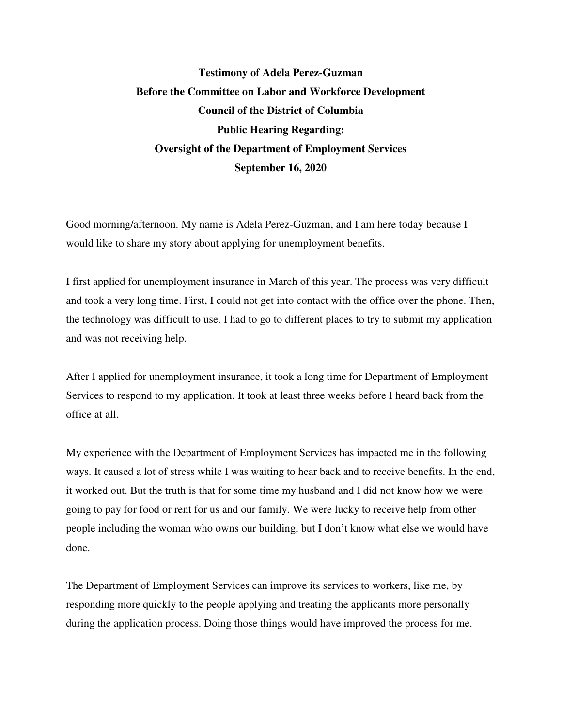## **Testimony of Adela Perez-Guzman Before the Committee on Labor and Workforce Development Council of the District of Columbia Public Hearing Regarding: Oversight of the Department of Employment Services September 16, 2020**

Good morning/afternoon. My name is Adela Perez-Guzman, and I am here today because I would like to share my story about applying for unemployment benefits.

I first applied for unemployment insurance in March of this year. The process was very difficult and took a very long time. First, I could not get into contact with the office over the phone. Then, the technology was difficult to use. I had to go to different places to try to submit my application and was not receiving help.

After I applied for unemployment insurance, it took a long time for Department of Employment Services to respond to my application. It took at least three weeks before I heard back from the office at all.

My experience with the Department of Employment Services has impacted me in the following ways. It caused a lot of stress while I was waiting to hear back and to receive benefits. In the end, it worked out. But the truth is that for some time my husband and I did not know how we were going to pay for food or rent for us and our family. We were lucky to receive help from other people including the woman who owns our building, but I don't know what else we would have done.

The Department of Employment Services can improve its services to workers, like me, by responding more quickly to the people applying and treating the applicants more personally during the application process. Doing those things would have improved the process for me.